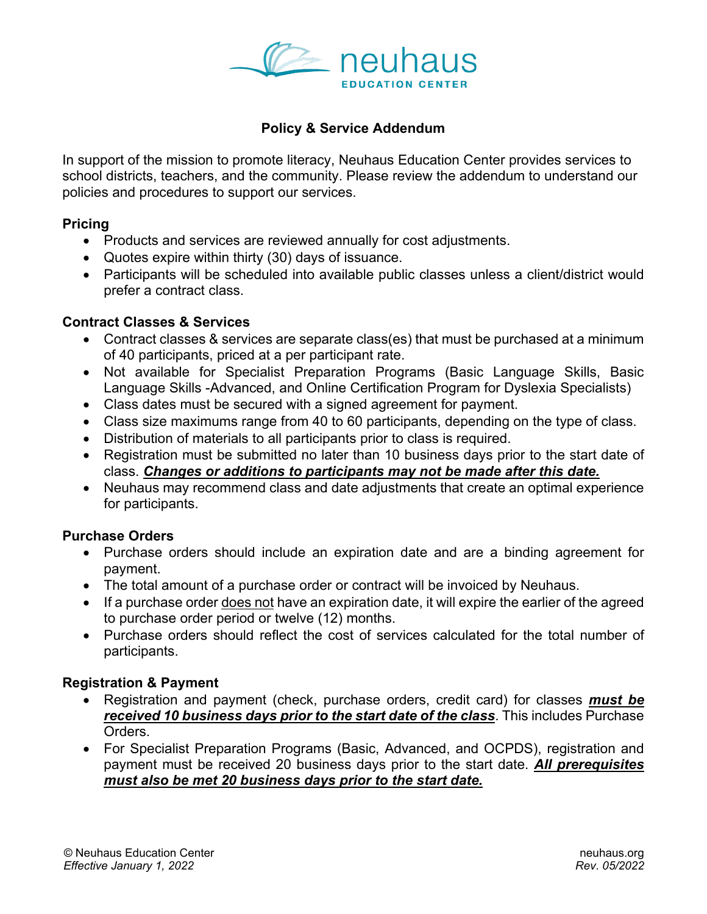

# **Policy & Service Addendum**

In support of the mission to promote literacy, Neuhaus Education Center provides services to school districts, teachers, and the community. Please review the addendum to understand our policies and procedures to support our services.

### **Pricing**

- Products and services are reviewed annually for cost adjustments.
- Quotes expire within thirty (30) days of issuance.
- Participants will be scheduled into available public classes unless a client/district would prefer a contract class.

### **Contract Classes & Services**

- Contract classes & services are separate class(es) that must be purchased at a minimum of 40 participants, priced at a per participant rate.
- Not available for Specialist Preparation Programs (Basic Language Skills, Basic Language Skills -Advanced, and Online Certification Program for Dyslexia Specialists)
- Class dates must be secured with a signed agreement for payment.
- Class size maximums range from 40 to 60 participants, depending on the type of class.
- Distribution of materials to all participants prior to class is required.
- Registration must be submitted no later than 10 business days prior to the start date of class. *Changes or additions to participants may not be made after this date.*
- Neuhaus may recommend class and date adjustments that create an optimal experience for participants.

### **Purchase Orders**

- Purchase orders should include an expiration date and are a binding agreement for payment.
- The total amount of a purchase order or contract will be invoiced by Neuhaus.
- If a purchase order does not have an expiration date, it will expire the earlier of the agreed to purchase order period or twelve (12) months.
- Purchase orders should reflect the cost of services calculated for the total number of participants.

### **Registration & Payment**

- Registration and payment (check, purchase orders, credit card) for classes *must be received 10 business days prior to the start date of the class*. This includes Purchase Orders.
- For Specialist Preparation Programs (Basic, Advanced, and OCPDS), registration and payment must be received 20 business days prior to the start date. *All prerequisites must also be met 20 business days prior to the start date.*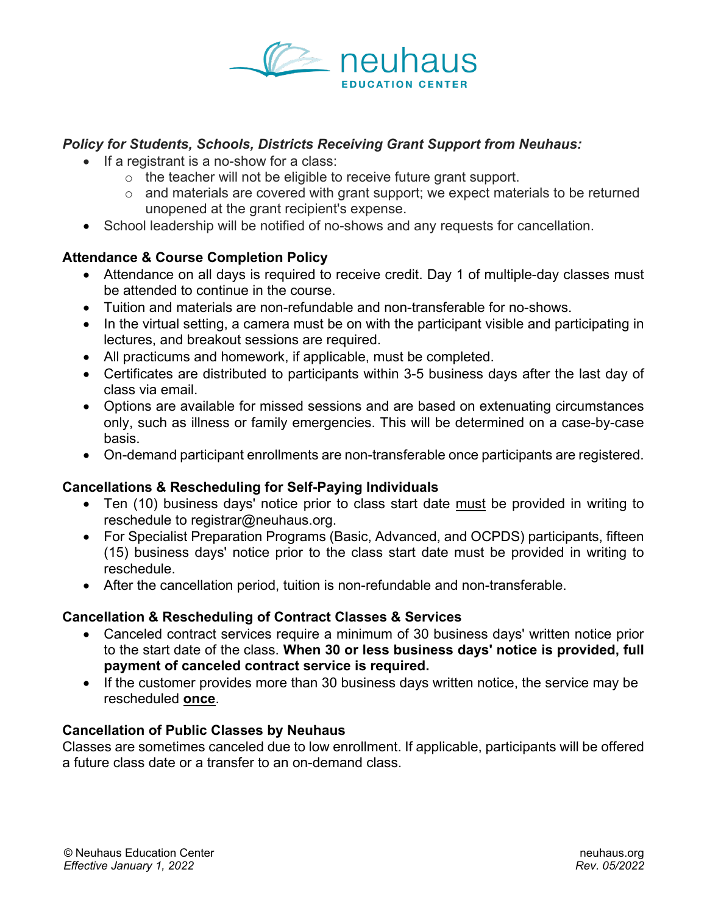

### *Policy for Students, Schools, Districts Receiving Grant Support from Neuhaus:*

- If a registrant is a no-show for a class:
	- $\circ$  the teacher will not be eligible to receive future grant support.
	- $\circ$  and materials are covered with grant support; we expect materials to be returned unopened at the grant recipient's expense.
- School leadership will be notified of no-shows and any requests for cancellation.

## **Attendance & Course Completion Policy**

- Attendance on all days is required to receive credit. Day 1 of multiple-day classes must be attended to continue in the course.
- Tuition and materials are non-refundable and non-transferable for no-shows.
- In the virtual setting, a camera must be on with the participant visible and participating in lectures, and breakout sessions are required.
- All practicums and homework, if applicable, must be completed.
- Certificates are distributed to participants within 3-5 business days after the last day of class via email.
- Options are available for missed sessions and are based on extenuating circumstances only, such as illness or family emergencies. This will be determined on a case-by-case basis.
- On-demand participant enrollments are non-transferable once participants are registered.

## **Cancellations & Rescheduling for Self-Paying Individuals**

- Ten (10) business days' notice prior to class start date must be provided in writing to reschedule to registrar@neuhaus.org.
- For Specialist Preparation Programs (Basic, Advanced, and OCPDS) participants, fifteen (15) business days' notice prior to the class start date must be provided in writing to reschedule.
- After the cancellation period, tuition is non-refundable and non-transferable.

## **Cancellation & Rescheduling of Contract Classes & Services**

- Canceled contract services require a minimum of 30 business days' written notice prior to the start date of the class. **When 30 or less business days' notice is provided, full payment of canceled contract service is required.**
- If the customer provides more than 30 business days written notice, the service may be rescheduled **once**.

### **Cancellation of Public Classes by Neuhaus**

Classes are sometimes canceled due to low enrollment. If applicable, participants will be offered a future class date or a transfer to an on-demand class.